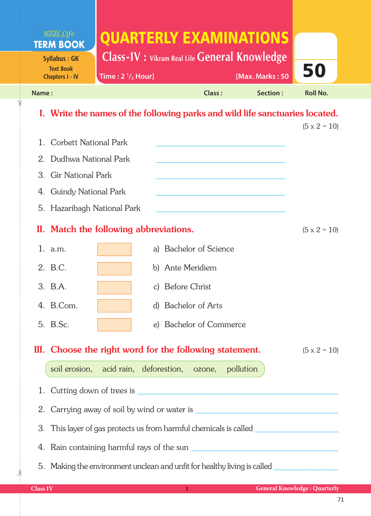|                                                                                                     | Real Life<br><b>TERM BOOK</b>                                                     | QUARTERLY EXAMINATIONS                                  |                        |                         |                 |                     |  |  |
|-----------------------------------------------------------------------------------------------------|-----------------------------------------------------------------------------------|---------------------------------------------------------|------------------------|-------------------------|-----------------|---------------------|--|--|
| <b>Syllabus: GK</b>                                                                                 |                                                                                   | <b>Class-IV</b> : Vikram Real Life General Knowledge    |                        |                         |                 |                     |  |  |
| <b>Text Book</b><br><b>Chapters I - IV</b>                                                          |                                                                                   | Time: $2 \frac{1}{2}$ Hour]                             |                        |                         | [Max. Marks: 50 | 50                  |  |  |
| Name:                                                                                               |                                                                                   |                                                         |                        | Class:                  | Section:        | <b>Roll No.</b>     |  |  |
| I. Write the names of the following parks and wild life sanctuaries located.<br>$(5 \times 2 = 10)$ |                                                                                   |                                                         |                        |                         |                 |                     |  |  |
| $1_{-}$                                                                                             | Corbett National Park                                                             |                                                         |                        |                         |                 |                     |  |  |
|                                                                                                     | 2. Dudhwa National Park                                                           |                                                         |                        |                         |                 |                     |  |  |
|                                                                                                     | 3. Gir National Park                                                              |                                                         |                        |                         |                 |                     |  |  |
| 4.                                                                                                  | <b>Guindy National Park</b>                                                       |                                                         |                        |                         |                 |                     |  |  |
|                                                                                                     | 5. Hazaribagh National Park                                                       |                                                         |                        |                         |                 |                     |  |  |
|                                                                                                     |                                                                                   | II. Match the following abbreviations.                  |                        |                         |                 | $(5 \times 2 = 10)$ |  |  |
|                                                                                                     | 1. a.m.                                                                           |                                                         | a) Bachelor of Science |                         |                 |                     |  |  |
|                                                                                                     | 2. B.C.                                                                           |                                                         | b) Ante Meridiem       |                         |                 |                     |  |  |
|                                                                                                     | 3. B.A.                                                                           |                                                         | c) Before Christ       |                         |                 |                     |  |  |
|                                                                                                     | 4. B.Com.                                                                         |                                                         | d) Bachelor of Arts    |                         |                 |                     |  |  |
|                                                                                                     | 5. B.Sc.                                                                          |                                                         |                        | e) Bachelor of Commerce |                 |                     |  |  |
|                                                                                                     |                                                                                   | III. Choose the right word for the following statement. |                        |                         |                 | $(5 \times 2 = 10)$ |  |  |
|                                                                                                     |                                                                                   | soil erosion, acid rain, deforestion, ozone, pollution  |                        |                         |                 |                     |  |  |
|                                                                                                     |                                                                                   |                                                         |                        |                         |                 |                     |  |  |
|                                                                                                     |                                                                                   |                                                         |                        |                         |                 |                     |  |  |
|                                                                                                     | 3. This layer of gas protects us from harmful chemicals is called _______________ |                                                         |                        |                         |                 |                     |  |  |
|                                                                                                     |                                                                                   |                                                         |                        |                         |                 |                     |  |  |
|                                                                                                     | 5. Making the environment unclean and unfit for healthy living is called          |                                                         |                        |                         |                 |                     |  |  |